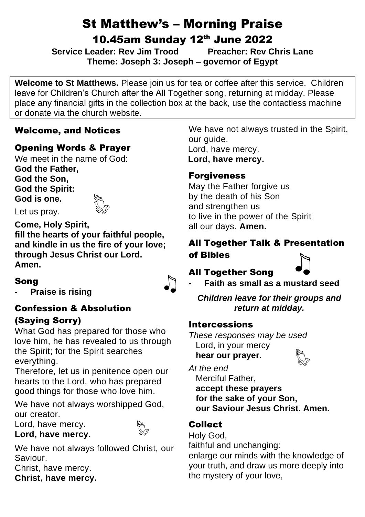# St Matthew's – Morning Praise

10.45am Sunday 12th June 2022

**Service Leader: Rev Jim Trood Preacher: Rev Chris Lane Theme: Joseph 3: Joseph – governor of Egypt**

**Welcome to St Matthews.** Please join us for tea or coffee after this service. Children leave for Children's Church after the All Together song, returning at midday. Please place any financial gifts in the collection box at the back, use the contactless machine or donate via the church website.

# Welcome, and Notices

# Opening Words & Prayer

We meet in the name of God: **God the Father, God the Son, God the Spirit: God is one.**

Let us pray.

**Come, Holy Spirit, fill the hearts of your faithful people, and kindle in us the fire of your love; through Jesus Christ our Lord. Amen.**

# Song

**- Praise is rising**

# Confession & Absolution

# (Saying Sorry)

What God has prepared for those who love him, he has revealed to us through the Spirit; for the Spirit searches everything.

Therefore, let us in penitence open our hearts to the Lord, who has prepared good things for those who love him.

We have not always worshipped God, our creator.

Lord, have mercy.

#### **Lord, have mercy.**

We have not always followed Christ, our Saviour.

Christ, have mercy. **Christ, have mercy.**

We have not always trusted in the Spirit, our guide. Lord, have mercy. Lord, have mercy.

# **Forgiveness**

May the Father forgive us by the death of his Son and strengthen us to live in the power of the Spirit all our days. **Amen.**

# All Together Talk & Presentation of Bibles

# All Together Song



**- Faith as small as a mustard seed**

*Children leave for their groups and return at midday.*

# Intercessions

*These responses may be used* Lord, in your mercy  **hear our prayer.**

*At the end*

 Merciful Father,  **accept these prayers for the sake of your Son, our Saviour Jesus Christ. Amen.**

# Collect

Holy God,

faithful and unchanging:

enlarge our minds with the knowledge of your truth, and draw us more deeply into the mystery of your love,